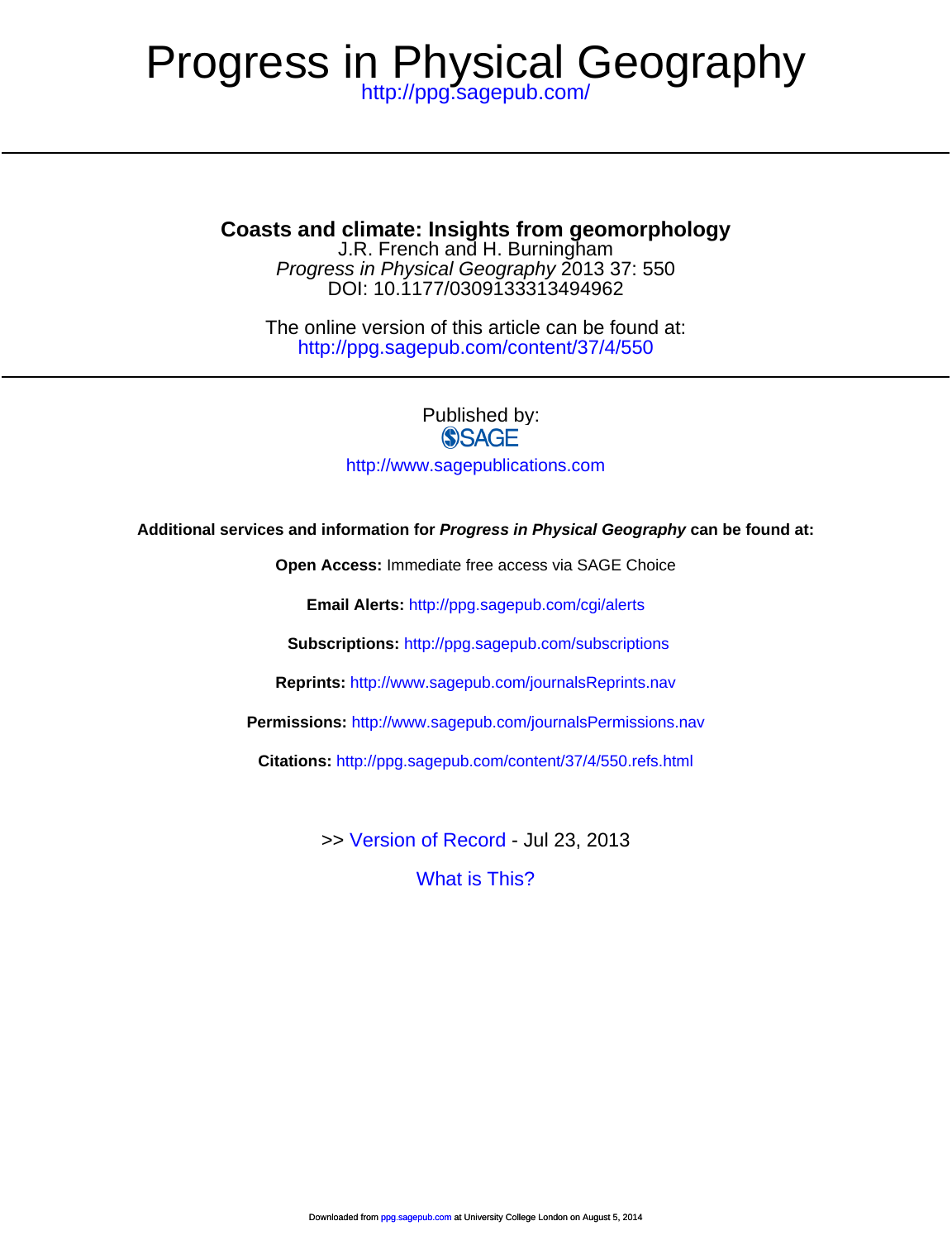## <http://ppg.sagepub.com/> Progress in Physical Geography

**Coasts and climate: Insights from geomorphology**

DOI: 10.1177/0309133313494962 Progress in Physical Geography 2013 37: 550 J.R. French and H. Burningham

<http://ppg.sagepub.com/content/37/4/550> The online version of this article can be found at:

> Published by:<br>
> SAGE <http://www.sagepublications.com>

**Additional services and information for Progress in Physical Geography can be found at:**

**Open Access:** Immediate free access via SAGE Choice

**Email Alerts:** <http://ppg.sagepub.com/cgi/alerts>

**Subscriptions:** <http://ppg.sagepub.com/subscriptions>

**Reprints:** <http://www.sagepub.com/journalsReprints.nav>

**Permissions:** <http://www.sagepub.com/journalsPermissions.nav>

**Citations:** <http://ppg.sagepub.com/content/37/4/550.refs.html>

>> [Version of Record -](http://ppg.sagepub.com/content/37/4/550.full.pdf) Jul 23, 2013

[What is This?](http://online.sagepub.com/site/sphelp/vorhelp.xhtml)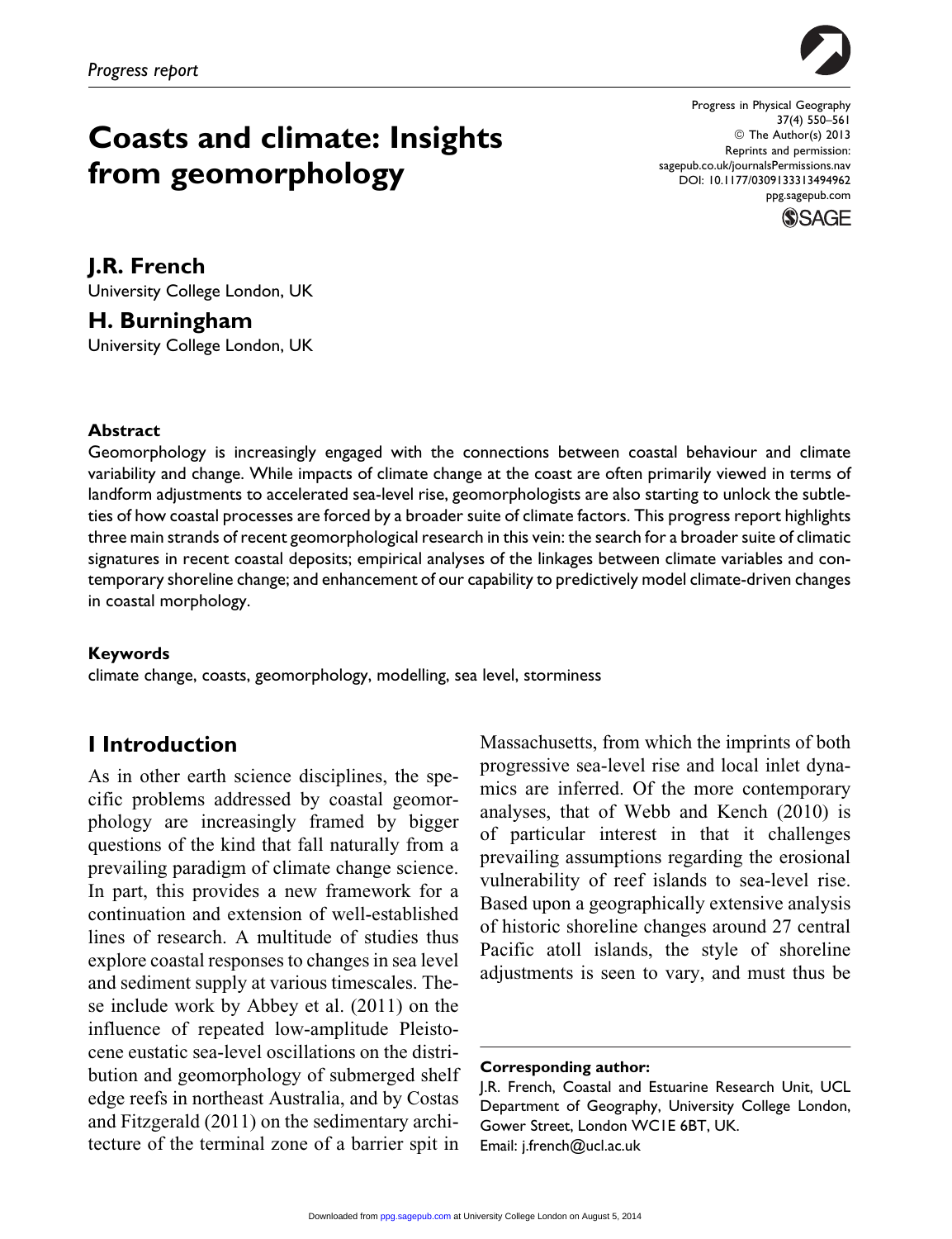

# Coasts and climate: Insights from geomorphology

Progress in Physical Geography 37(4) 550–561 © The Author(s) 2013 Reprints and permission: [sagepub.co.uk/journalsPermissions.nav](http://www.sagepub.co.uk/journalsPermissions.nav) DOI: 10.1177/0309133313494962 [ppg.sagepub.com](http://ppg.sagepub.com)



J.R. French University College London, UK

H. Burningham University College London, UK

#### Abstract

Geomorphology is increasingly engaged with the connections between coastal behaviour and climate variability and change. While impacts of climate change at the coast are often primarily viewed in terms of landform adjustments to accelerated sea-level rise, geomorphologists are also starting to unlock the subtleties of how coastal processes are forced by a broader suite of climate factors. This progress report highlights three main strands of recent geomorphological research in this vein: the search for a broader suite of climatic signatures in recent coastal deposits; empirical analyses of the linkages between climate variables and contemporary shoreline change; and enhancement of our capability to predictively model climate-driven changes in coastal morphology.

#### Keywords

climate change, coasts, geomorphology, modelling, sea level, storminess

#### I Introduction

As in other earth science disciplines, the specific problems addressed by coastal geomorphology are increasingly framed by bigger questions of the kind that fall naturally from a prevailing paradigm of climate change science. In part, this provides a new framework for a continuation and extension of well-established lines of research. A multitude of studies thus explore coastal responses to changes in sea level and sediment supply at various timescales. These include work by Abbey et al. (2011) on the influence of repeated low-amplitude Pleistocene eustatic sea-level oscillations on the distribution and geomorphology of submerged shelf edge reefs in northeast Australia, and by Costas and Fitzgerald (2011) on the sedimentary architecture of the terminal zone of a barrier spit in

Massachusetts, from which the imprints of both progressive sea-level rise and local inlet dynamics are inferred. Of the more contemporary analyses, that of Webb and Kench (2010) is of particular interest in that it challenges prevailing assumptions regarding the erosional vulnerability of reef islands to sea-level rise. Based upon a geographically extensive analysis of historic shoreline changes around 27 central Pacific atoll islands, the style of shoreline adjustments is seen to vary, and must thus be

#### Corresponding author:

J.R. French, Coastal and Estuarine Research Unit, UCL Department of Geography, University College London, Gower Street, London WC1E 6BT, UK. Email: j.french@ucl.ac.uk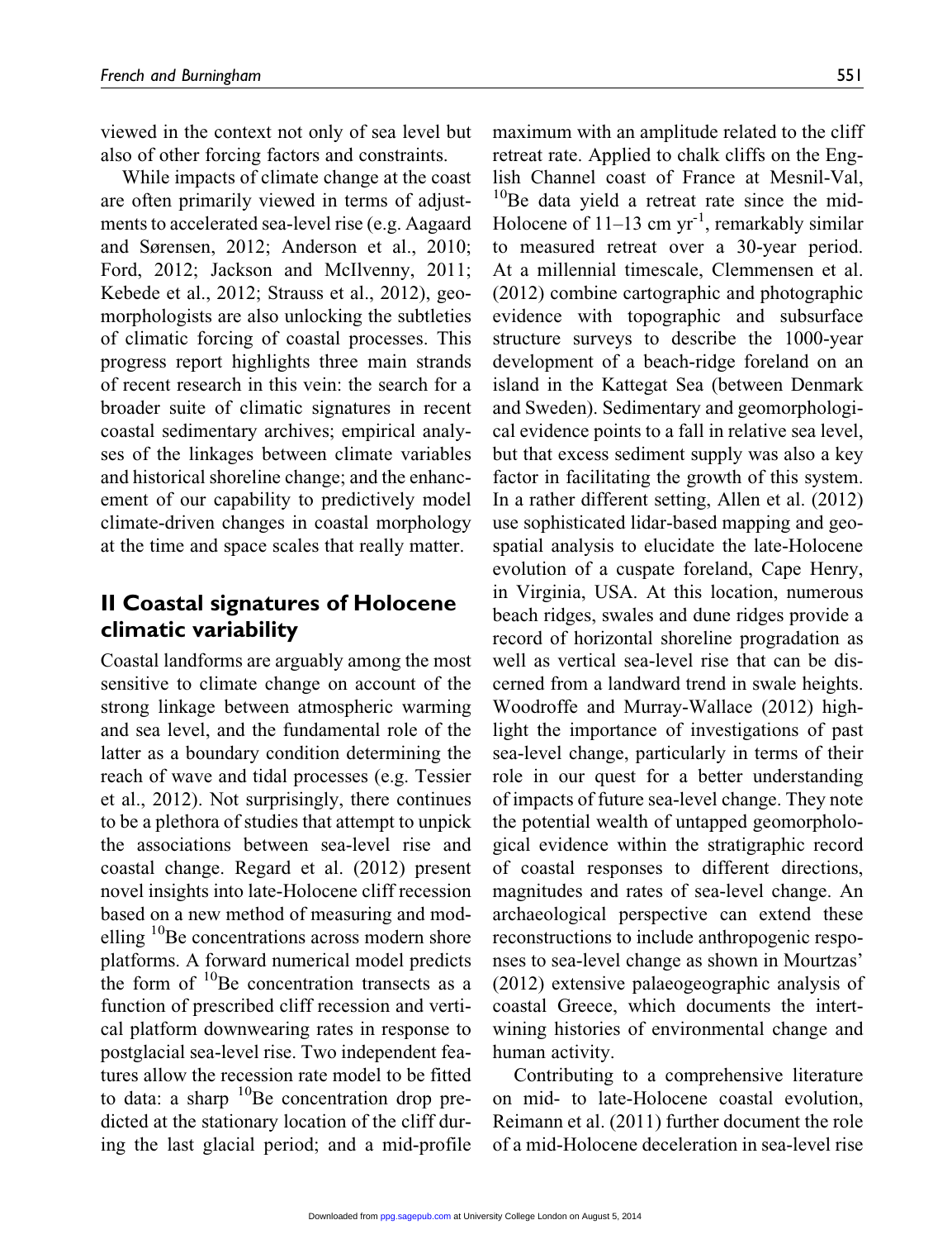viewed in the context not only of sea level but also of other forcing factors and constraints.

While impacts of climate change at the coast are often primarily viewed in terms of adjustments to accelerated sea-level rise (e.g. Aagaard and Sørensen, 2012; Anderson et al., 2010; Ford, 2012; Jackson and McIlvenny, 2011; Kebede et al., 2012; Strauss et al., 2012), geomorphologists are also unlocking the subtleties of climatic forcing of coastal processes. This progress report highlights three main strands of recent research in this vein: the search for a broader suite of climatic signatures in recent coastal sedimentary archives; empirical analyses of the linkages between climate variables and historical shoreline change; and the enhancement of our capability to predictively model climate-driven changes in coastal morphology at the time and space scales that really matter.

### II Coastal signatures of Holocene climatic variability

Coastal landforms are arguably among the most sensitive to climate change on account of the strong linkage between atmospheric warming and sea level, and the fundamental role of the latter as a boundary condition determining the reach of wave and tidal processes (e.g. Tessier et al., 2012). Not surprisingly, there continues to be a plethora of studies that attempt to unpick the associations between sea-level rise and coastal change. Regard et al. (2012) present novel insights into late-Holocene cliff recession based on a new method of measuring and modelling  $10$ Be concentrations across modern shore platforms. A forward numerical model predicts the form of  $10$ Be concentration transects as a function of prescribed cliff recession and vertical platform downwearing rates in response to postglacial sea-level rise. Two independent features allow the recession rate model to be fitted to data: a sharp  $^{10}$ Be concentration drop predicted at the stationary location of the cliff during the last glacial period; and a mid-profile maximum with an amplitude related to the cliff retreat rate. Applied to chalk cliffs on the English Channel coast of France at Mesnil-Val,  $10$ Be data yield a retreat rate since the mid-Holocene of  $11-13$  cm yr<sup>-1</sup>, remarkably similar to measured retreat over a 30-year period. At a millennial timescale, Clemmensen et al. (2012) combine cartographic and photographic evidence with topographic and subsurface structure surveys to describe the 1000-year development of a beach-ridge foreland on an island in the Kattegat Sea (between Denmark and Sweden). Sedimentary and geomorphological evidence points to a fall in relative sea level, but that excess sediment supply was also a key factor in facilitating the growth of this system. In a rather different setting, Allen et al. (2012) use sophisticated lidar-based mapping and geospatial analysis to elucidate the late-Holocene evolution of a cuspate foreland, Cape Henry, in Virginia, USA. At this location, numerous beach ridges, swales and dune ridges provide a record of horizontal shoreline progradation as well as vertical sea-level rise that can be discerned from a landward trend in swale heights. Woodroffe and Murray-Wallace (2012) highlight the importance of investigations of past sea-level change, particularly in terms of their role in our quest for a better understanding of impacts of future sea-level change. They note the potential wealth of untapped geomorphological evidence within the stratigraphic record of coastal responses to different directions, magnitudes and rates of sea-level change. An archaeological perspective can extend these reconstructions to include anthropogenic responses to sea-level change as shown in Mourtzas' (2012) extensive palaeogeographic analysis of coastal Greece, which documents the intertwining histories of environmental change and human activity.

Contributing to a comprehensive literature on mid- to late-Holocene coastal evolution, Reimann et al. (2011) further document the role of a mid-Holocene deceleration in sea-level rise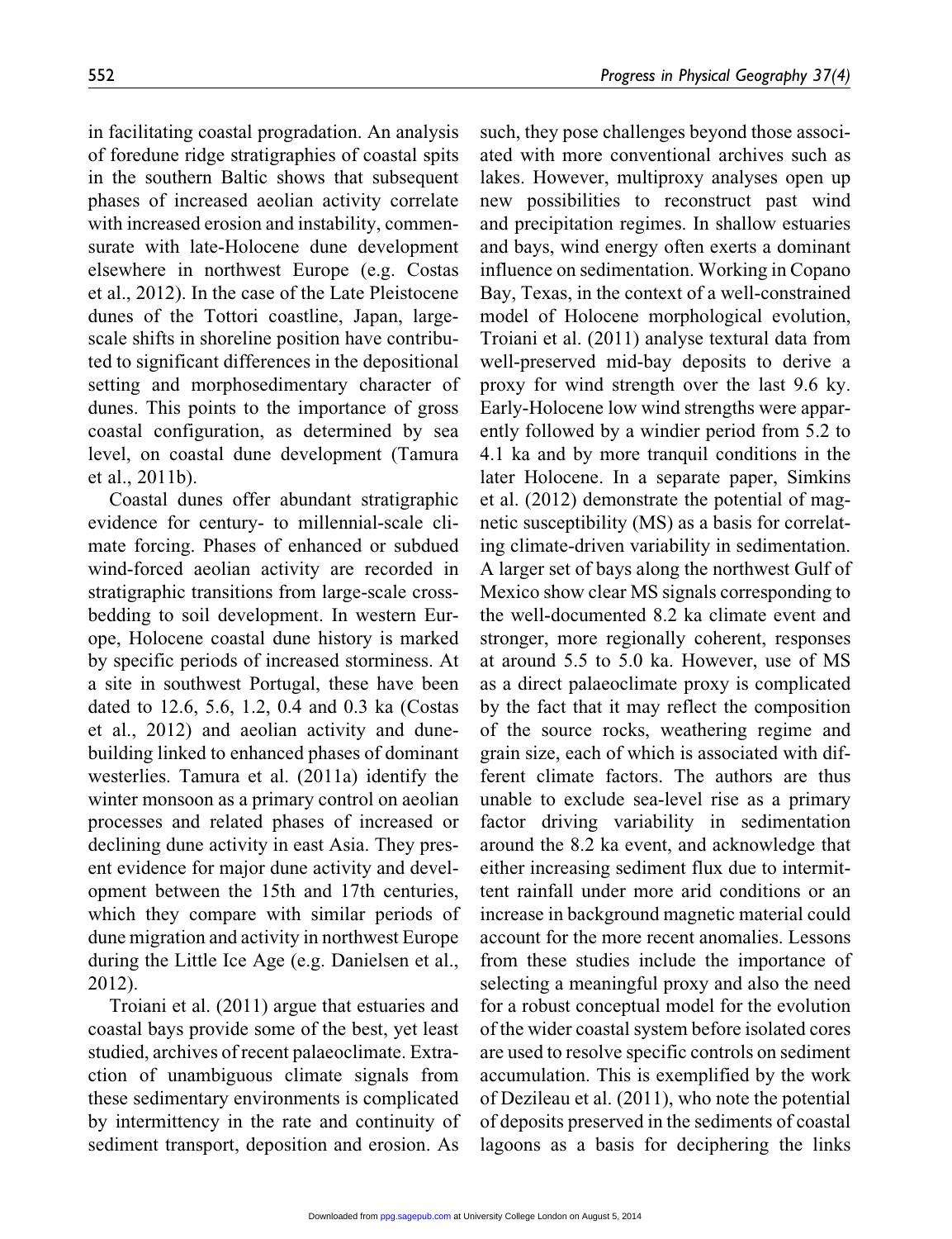in facilitating coastal progradation. An analysis of foredune ridge stratigraphies of coastal spits in the southern Baltic shows that subsequent phases of increased aeolian activity correlate with increased erosion and instability, commensurate with late-Holocene dune development elsewhere in northwest Europe (e.g. Costas et al., 2012). In the case of the Late Pleistocene dunes of the Tottori coastline, Japan, largescale shifts in shoreline position have contributed to significant differences in the depositional setting and morphosedimentary character of dunes. This points to the importance of gross coastal configuration, as determined by sea level, on coastal dune development (Tamura et al., 2011b).

Coastal dunes offer abundant stratigraphic evidence for century- to millennial-scale climate forcing. Phases of enhanced or subdued wind-forced aeolian activity are recorded in stratigraphic transitions from large-scale crossbedding to soil development. In western Europe, Holocene coastal dune history is marked by specific periods of increased storminess. At a site in southwest Portugal, these have been dated to 12.6, 5.6, 1.2, 0.4 and 0.3 ka (Costas et al., 2012) and aeolian activity and dunebuilding linked to enhanced phases of dominant westerlies. Tamura et al. (2011a) identify the winter monsoon as a primary control on aeolian processes and related phases of increased or declining dune activity in east Asia. They present evidence for major dune activity and development between the 15th and 17th centuries, which they compare with similar periods of dune migration and activity in northwest Europe during the Little Ice Age (e.g. Danielsen et al., 2012).

Troiani et al. (2011) argue that estuaries and coastal bays provide some of the best, yet least studied, archives of recent palaeoclimate. Extraction of unambiguous climate signals from these sedimentary environments is complicated by intermittency in the rate and continuity of sediment transport, deposition and erosion. As

such, they pose challenges beyond those associated with more conventional archives such as lakes. However, multiproxy analyses open up new possibilities to reconstruct past wind and precipitation regimes. In shallow estuaries and bays, wind energy often exerts a dominant influence on sedimentation. Working in Copano Bay, Texas, in the context of a well-constrained model of Holocene morphological evolution, Troiani et al. (2011) analyse textural data from well-preserved mid-bay deposits to derive a proxy for wind strength over the last 9.6 ky. Early-Holocene low wind strengths were apparently followed by a windier period from 5.2 to 4.1 ka and by more tranquil conditions in the later Holocene. In a separate paper, Simkins et al. (2012) demonstrate the potential of magnetic susceptibility (MS) as a basis for correlating climate-driven variability in sedimentation. A larger set of bays along the northwest Gulf of Mexico show clear MS signals corresponding to the well-documented 8.2 ka climate event and stronger, more regionally coherent, responses at around 5.5 to 5.0 ka. However, use of MS as a direct palaeoclimate proxy is complicated by the fact that it may reflect the composition of the source rocks, weathering regime and grain size, each of which is associated with different climate factors. The authors are thus unable to exclude sea-level rise as a primary factor driving variability in sedimentation around the 8.2 ka event, and acknowledge that either increasing sediment flux due to intermittent rainfall under more arid conditions or an increase in background magnetic material could account for the more recent anomalies. Lessons from these studies include the importance of selecting a meaningful proxy and also the need for a robust conceptual model for the evolution of the wider coastal system before isolated cores are used to resolve specific controls on sediment accumulation. This is exemplified by the work of Dezileau et al. (2011), who note the potential of deposits preserved in the sediments of coastal lagoons as a basis for deciphering the links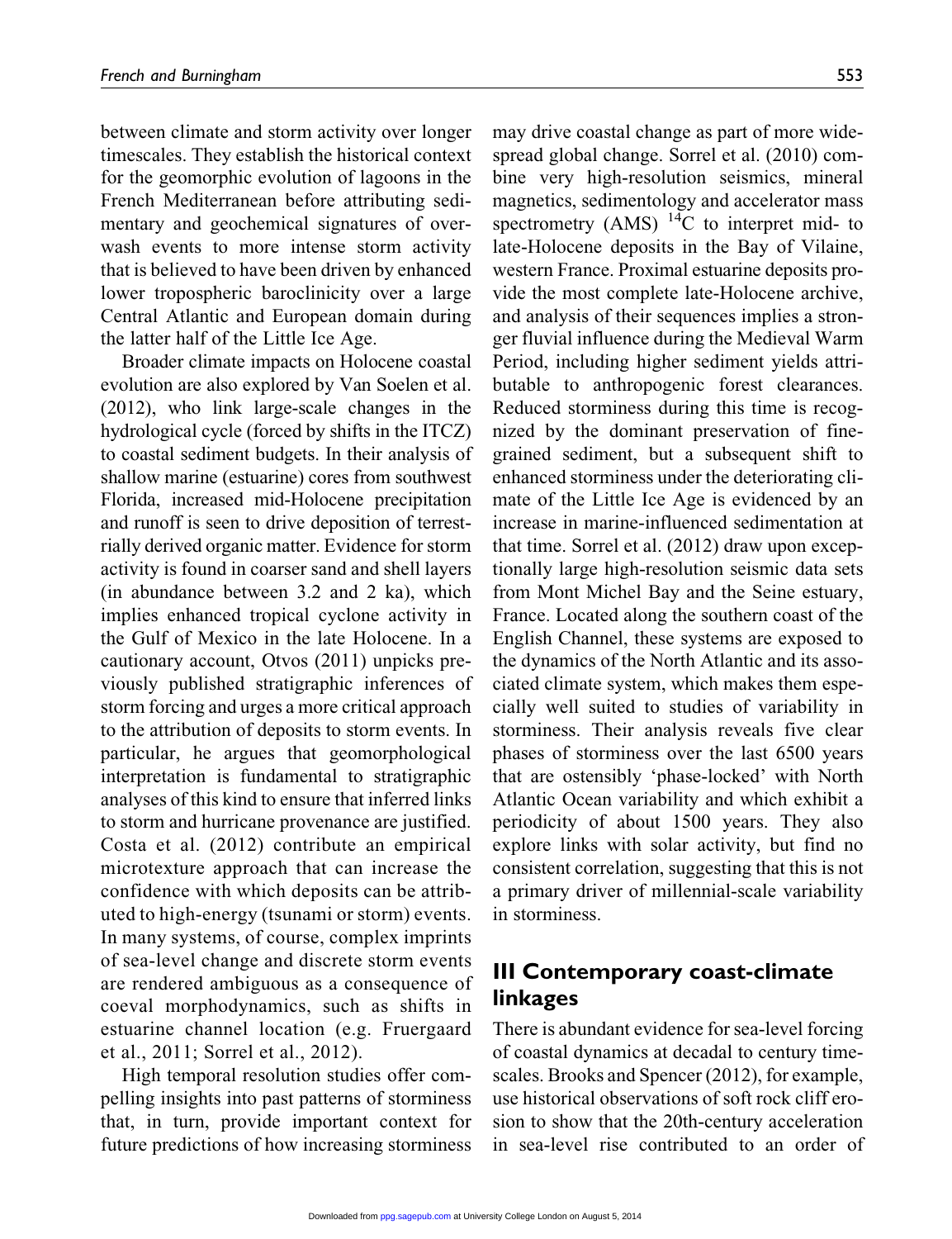between climate and storm activity over longer timescales. They establish the historical context for the geomorphic evolution of lagoons in the French Mediterranean before attributing sedimentary and geochemical signatures of overwash events to more intense storm activity that is believed to have been driven by enhanced lower tropospheric baroclinicity over a large Central Atlantic and European domain during the latter half of the Little Ice Age.

Broader climate impacts on Holocene coastal evolution are also explored by Van Soelen et al. (2012), who link large-scale changes in the hydrological cycle (forced by shifts in the ITCZ) to coastal sediment budgets. In their analysis of shallow marine (estuarine) cores from southwest Florida, increased mid-Holocene precipitation and runoff is seen to drive deposition of terrestrially derived organic matter. Evidence for storm activity is found in coarser sand and shell layers (in abundance between 3.2 and 2 ka), which implies enhanced tropical cyclone activity in the Gulf of Mexico in the late Holocene. In a cautionary account, Otvos (2011) unpicks previously published stratigraphic inferences of storm forcing and urges a more critical approach to the attribution of deposits to storm events. In particular, he argues that geomorphological interpretation is fundamental to stratigraphic analyses of this kind to ensure that inferred links to storm and hurricane provenance are justified. Costa et al. (2012) contribute an empirical microtexture approach that can increase the confidence with which deposits can be attributed to high-energy (tsunami or storm) events. In many systems, of course, complex imprints of sea-level change and discrete storm events are rendered ambiguous as a consequence of coeval morphodynamics, such as shifts in estuarine channel location (e.g. Fruergaard et al., 2011; Sorrel et al., 2012).

High temporal resolution studies offer compelling insights into past patterns of storminess that, in turn, provide important context for future predictions of how increasing storminess may drive coastal change as part of more widespread global change. Sorrel et al. (2010) combine very high-resolution seismics, mineral magnetics, sedimentology and accelerator mass spectrometry (AMS)  $^{14}$ C to interpret mid- to late-Holocene deposits in the Bay of Vilaine, western France. Proximal estuarine deposits provide the most complete late-Holocene archive, and analysis of their sequences implies a stronger fluvial influence during the Medieval Warm Period, including higher sediment yields attributable to anthropogenic forest clearances. Reduced storminess during this time is recognized by the dominant preservation of finegrained sediment, but a subsequent shift to enhanced storminess under the deteriorating climate of the Little Ice Age is evidenced by an increase in marine-influenced sedimentation at that time. Sorrel et al. (2012) draw upon exceptionally large high-resolution seismic data sets from Mont Michel Bay and the Seine estuary, France. Located along the southern coast of the English Channel, these systems are exposed to the dynamics of the North Atlantic and its associated climate system, which makes them especially well suited to studies of variability in storminess. Their analysis reveals five clear phases of storminess over the last 6500 years that are ostensibly 'phase-locked' with North Atlantic Ocean variability and which exhibit a periodicity of about 1500 years. They also explore links with solar activity, but find no consistent correlation, suggesting that this is not a primary driver of millennial-scale variability in storminess.

### III Contemporary coast-climate linkages

There is abundant evidence for sea-level forcing of coastal dynamics at decadal to century timescales. Brooks and Spencer (2012), for example, use historical observations of soft rock cliff erosion to show that the 20th-century acceleration in sea-level rise contributed to an order of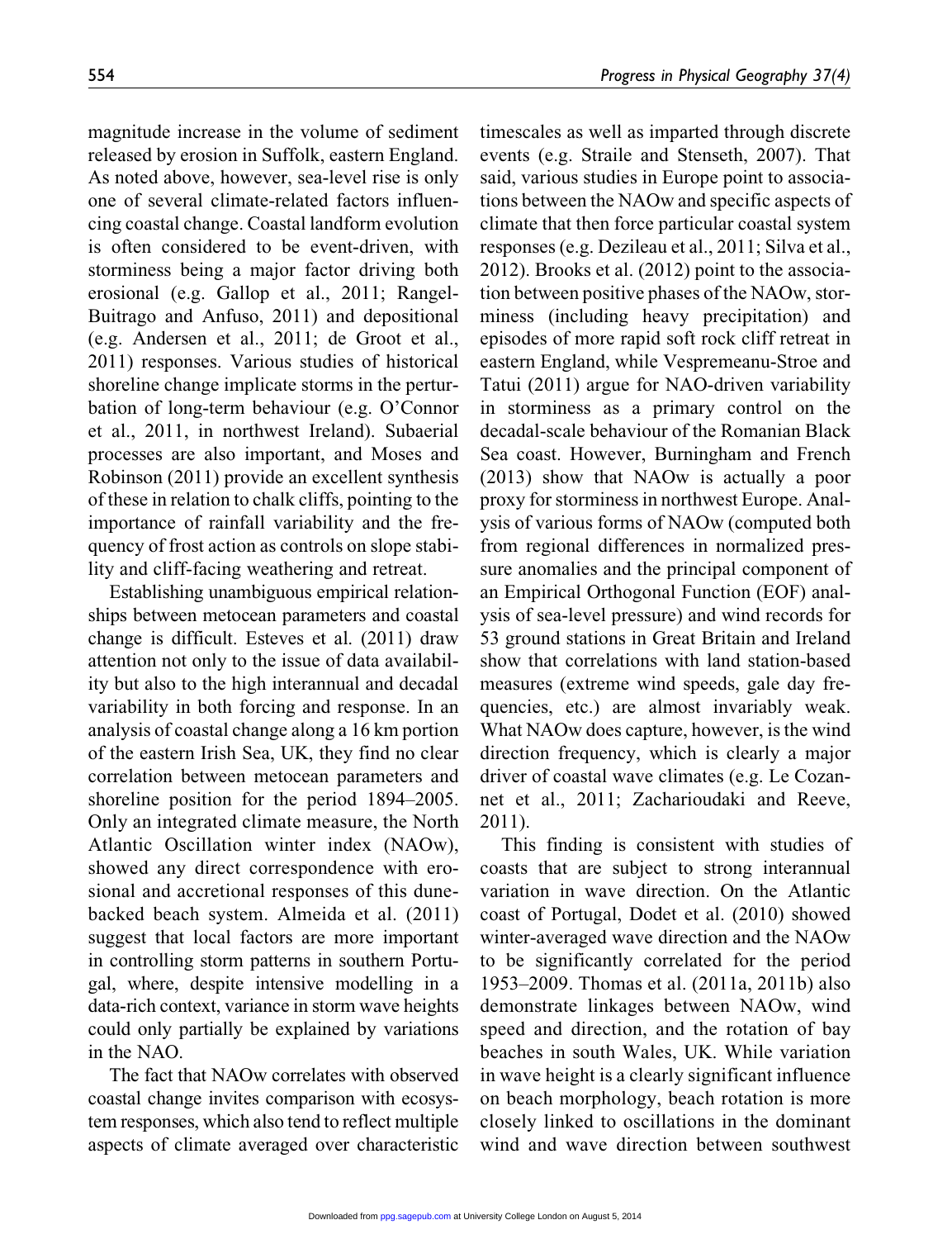magnitude increase in the volume of sediment released by erosion in Suffolk, eastern England. As noted above, however, sea-level rise is only one of several climate-related factors influencing coastal change. Coastal landform evolution is often considered to be event-driven, with storminess being a major factor driving both erosional (e.g. Gallop et al., 2011; Rangel-Buitrago and Anfuso, 2011) and depositional (e.g. Andersen et al., 2011; de Groot et al., 2011) responses. Various studies of historical shoreline change implicate storms in the perturbation of long-term behaviour (e.g. O'Connor et al., 2011, in northwest Ireland). Subaerial processes are also important, and Moses and Robinson (2011) provide an excellent synthesis of these in relation to chalk cliffs, pointing to the importance of rainfall variability and the frequency of frost action as controls on slope stability and cliff-facing weathering and retreat.

Establishing unambiguous empirical relationships between metocean parameters and coastal change is difficult. Esteves et al. (2011) draw attention not only to the issue of data availability but also to the high interannual and decadal variability in both forcing and response. In an analysis of coastal change along a 16 km portion of the eastern Irish Sea, UK, they find no clear correlation between metocean parameters and shoreline position for the period 1894–2005. Only an integrated climate measure, the North Atlantic Oscillation winter index (NAOw), showed any direct correspondence with erosional and accretional responses of this dunebacked beach system. Almeida et al. (2011) suggest that local factors are more important in controlling storm patterns in southern Portugal, where, despite intensive modelling in a data-rich context, variance in storm wave heights could only partially be explained by variations in the NAO.

The fact that NAOw correlates with observed coastal change invites comparison with ecosystem responses, which also tend to reflect multiple aspects of climate averaged over characteristic

timescales as well as imparted through discrete events (e.g. Straile and Stenseth, 2007). That said, various studies in Europe point to associations between the NAOw and specific aspects of climate that then force particular coastal system responses (e.g. Dezileau et al., 2011; Silva et al., 2012). Brooks et al. (2012) point to the association between positive phases of the NAOw, storminess (including heavy precipitation) and episodes of more rapid soft rock cliff retreat in eastern England, while Vespremeanu-Stroe and Tatui (2011) argue for NAO-driven variability in storminess as a primary control on the decadal-scale behaviour of the Romanian Black Sea coast. However, Burningham and French (2013) show that NAOw is actually a poor proxy for storminess in northwest Europe. Analysis of various forms of NAOw (computed both from regional differences in normalized pressure anomalies and the principal component of an Empirical Orthogonal Function (EOF) analysis of sea-level pressure) and wind records for 53 ground stations in Great Britain and Ireland show that correlations with land station-based measures (extreme wind speeds, gale day frequencies, etc.) are almost invariably weak. What NAOw does capture, however, is the wind direction frequency, which is clearly a major driver of coastal wave climates (e.g. Le Cozannet et al., 2011; Zacharioudaki and Reeve, 2011).

This finding is consistent with studies of coasts that are subject to strong interannual variation in wave direction. On the Atlantic coast of Portugal, Dodet et al. (2010) showed winter-averaged wave direction and the NAOw to be significantly correlated for the period 1953–2009. Thomas et al. (2011a, 2011b) also demonstrate linkages between NAOw, wind speed and direction, and the rotation of bay beaches in south Wales, UK. While variation in wave height is a clearly significant influence on beach morphology, beach rotation is more closely linked to oscillations in the dominant wind and wave direction between southwest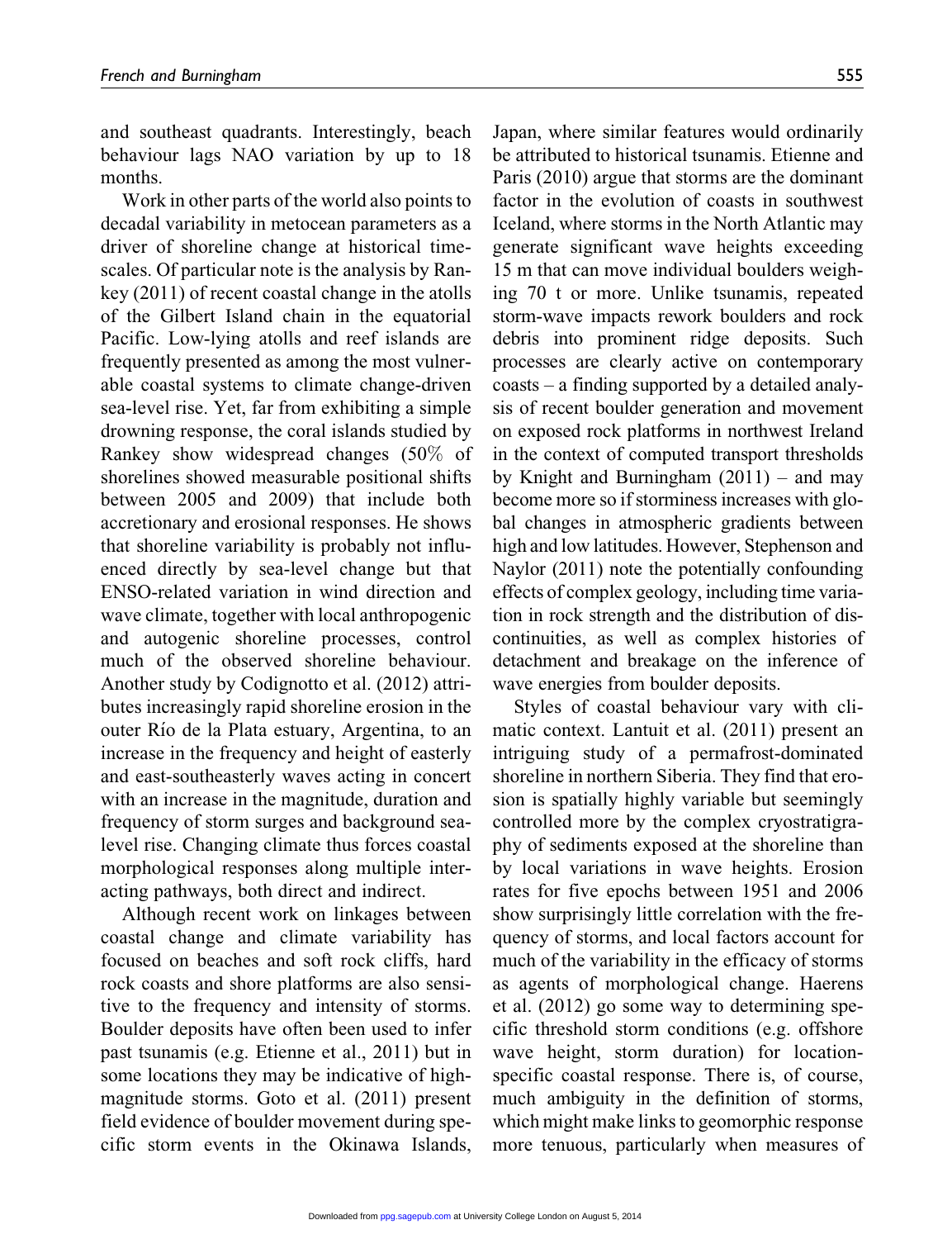and southeast quadrants. Interestingly, beach behaviour lags NAO variation by up to 18 months.

Work in other parts of the world also points to decadal variability in metocean parameters as a driver of shoreline change at historical timescales. Of particular note is the analysis by Rankey (2011) of recent coastal change in the atolls of the Gilbert Island chain in the equatorial Pacific. Low-lying atolls and reef islands are frequently presented as among the most vulnerable coastal systems to climate change-driven sea-level rise. Yet, far from exhibiting a simple drowning response, the coral islands studied by Rankey show widespread changes (50% of shorelines showed measurable positional shifts between 2005 and 2009) that include both accretionary and erosional responses. He shows that shoreline variability is probably not influenced directly by sea-level change but that ENSO-related variation in wind direction and wave climate, together with local anthropogenic and autogenic shoreline processes, control much of the observed shoreline behaviour. Another study by Codignotto et al. (2012) attributes increasingly rapid shoreline erosion in the outer Rı´o de la Plata estuary, Argentina, to an increase in the frequency and height of easterly and east-southeasterly waves acting in concert with an increase in the magnitude, duration and frequency of storm surges and background sealevel rise. Changing climate thus forces coastal morphological responses along multiple interacting pathways, both direct and indirect.

Although recent work on linkages between coastal change and climate variability has focused on beaches and soft rock cliffs, hard rock coasts and shore platforms are also sensitive to the frequency and intensity of storms. Boulder deposits have often been used to infer past tsunamis (e.g. Etienne et al., 2011) but in some locations they may be indicative of highmagnitude storms. Goto et al. (2011) present field evidence of boulder movement during specific storm events in the Okinawa Islands, Japan, where similar features would ordinarily be attributed to historical tsunamis. Etienne and Paris (2010) argue that storms are the dominant factor in the evolution of coasts in southwest Iceland, where storms in the North Atlantic may generate significant wave heights exceeding 15 m that can move individual boulders weighing 70 t or more. Unlike tsunamis, repeated storm-wave impacts rework boulders and rock debris into prominent ridge deposits. Such processes are clearly active on contemporary coasts – a finding supported by a detailed analysis of recent boulder generation and movement on exposed rock platforms in northwest Ireland in the context of computed transport thresholds by Knight and Burningham (2011) – and may become more so if storminess increases with global changes in atmospheric gradients between high and low latitudes. However, Stephenson and Naylor (2011) note the potentially confounding effects of complex geology, including time variation in rock strength and the distribution of discontinuities, as well as complex histories of detachment and breakage on the inference of wave energies from boulder deposits.

Styles of coastal behaviour vary with climatic context. Lantuit et al. (2011) present an intriguing study of a permafrost-dominated shoreline in northern Siberia. They find that erosion is spatially highly variable but seemingly controlled more by the complex cryostratigraphy of sediments exposed at the shoreline than by local variations in wave heights. Erosion rates for five epochs between 1951 and 2006 show surprisingly little correlation with the frequency of storms, and local factors account for much of the variability in the efficacy of storms as agents of morphological change. Haerens et al. (2012) go some way to determining specific threshold storm conditions (e.g. offshore wave height, storm duration) for locationspecific coastal response. There is, of course, much ambiguity in the definition of storms, which might make links to geomorphic response more tenuous, particularly when measures of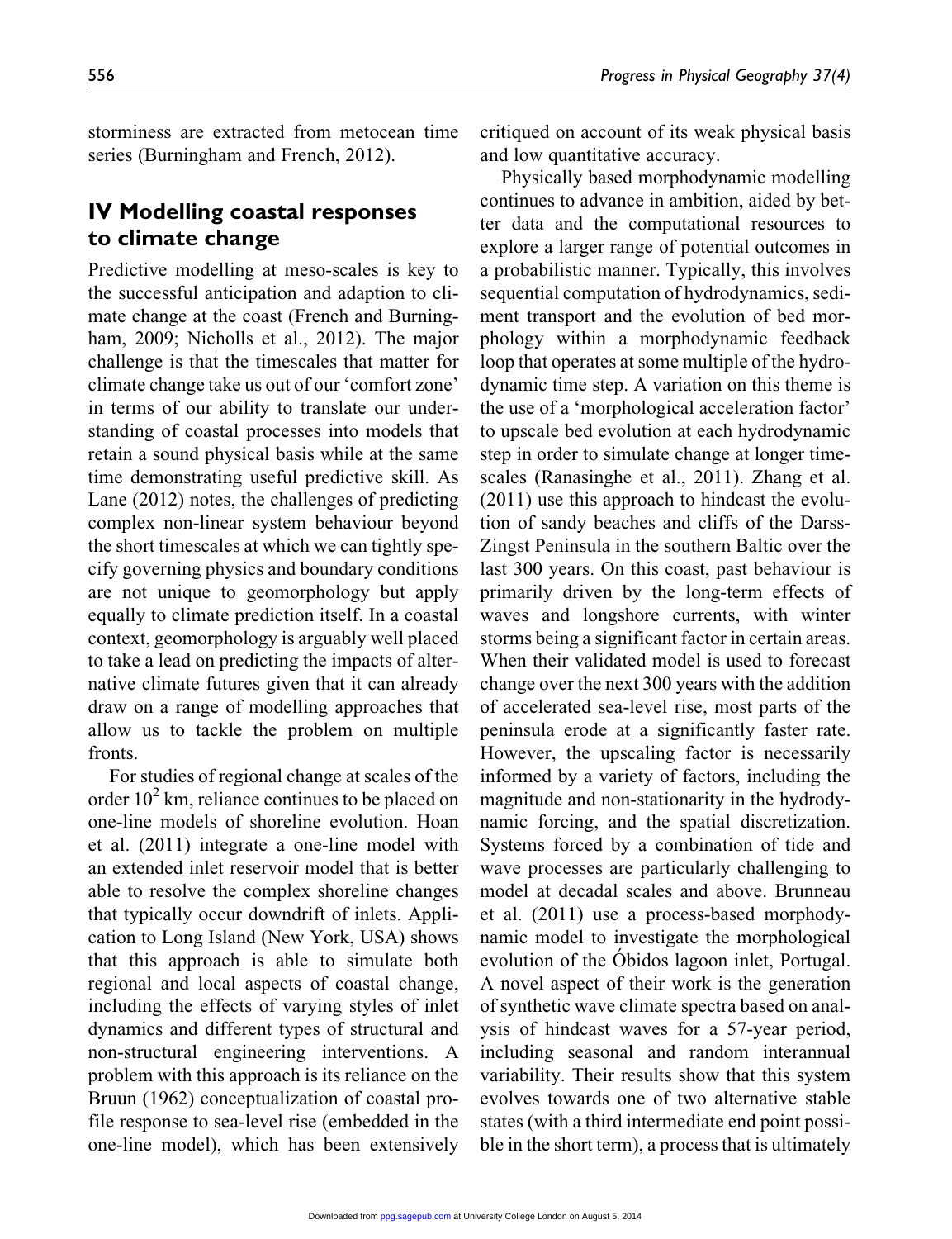storminess are extracted from metocean time series (Burningham and French, 2012).

### IV Modelling coastal responses to climate change

Predictive modelling at meso-scales is key to the successful anticipation and adaption to climate change at the coast (French and Burningham, 2009; Nicholls et al., 2012). The major challenge is that the timescales that matter for climate change take us out of our 'comfort zone' in terms of our ability to translate our understanding of coastal processes into models that retain a sound physical basis while at the same time demonstrating useful predictive skill. As Lane (2012) notes, the challenges of predicting complex non-linear system behaviour beyond the short timescales at which we can tightly specify governing physics and boundary conditions are not unique to geomorphology but apply equally to climate prediction itself. In a coastal context, geomorphology is arguably well placed to take a lead on predicting the impacts of alternative climate futures given that it can already draw on a range of modelling approaches that allow us to tackle the problem on multiple fronts.

For studies of regional change at scales of the order  $10^2$  km, reliance continues to be placed on one-line models of shoreline evolution. Hoan et al. (2011) integrate a one-line model with an extended inlet reservoir model that is better able to resolve the complex shoreline changes that typically occur downdrift of inlets. Application to Long Island (New York, USA) shows that this approach is able to simulate both regional and local aspects of coastal change, including the effects of varying styles of inlet dynamics and different types of structural and non-structural engineering interventions. A problem with this approach is its reliance on the Bruun (1962) conceptualization of coastal profile response to sea-level rise (embedded in the one-line model), which has been extensively

critiqued on account of its weak physical basis and low quantitative accuracy.

Physically based morphodynamic modelling continues to advance in ambition, aided by better data and the computational resources to explore a larger range of potential outcomes in a probabilistic manner. Typically, this involves sequential computation of hydrodynamics, sediment transport and the evolution of bed morphology within a morphodynamic feedback loop that operates at some multiple of the hydrodynamic time step. A variation on this theme is the use of a 'morphological acceleration factor' to upscale bed evolution at each hydrodynamic step in order to simulate change at longer timescales (Ranasinghe et al., 2011). Zhang et al. (2011) use this approach to hindcast the evolution of sandy beaches and cliffs of the Darss-Zingst Peninsula in the southern Baltic over the last 300 years. On this coast, past behaviour is primarily driven by the long-term effects of waves and longshore currents, with winter storms being a significant factor in certain areas. When their validated model is used to forecast change over the next 300 years with the addition of accelerated sea-level rise, most parts of the peninsula erode at a significantly faster rate. However, the upscaling factor is necessarily informed by a variety of factors, including the magnitude and non-stationarity in the hydrodynamic forcing, and the spatial discretization. Systems forced by a combination of tide and wave processes are particularly challenging to model at decadal scales and above. Brunneau et al. (2011) use a process-based morphodynamic model to investigate the morphological evolution of the Obidos lagoon inlet, Portugal. A novel aspect of their work is the generation of synthetic wave climate spectra based on analysis of hindcast waves for a 57-year period, including seasonal and random interannual variability. Their results show that this system evolves towards one of two alternative stable states (with a third intermediate end point possible in the short term), a process that is ultimately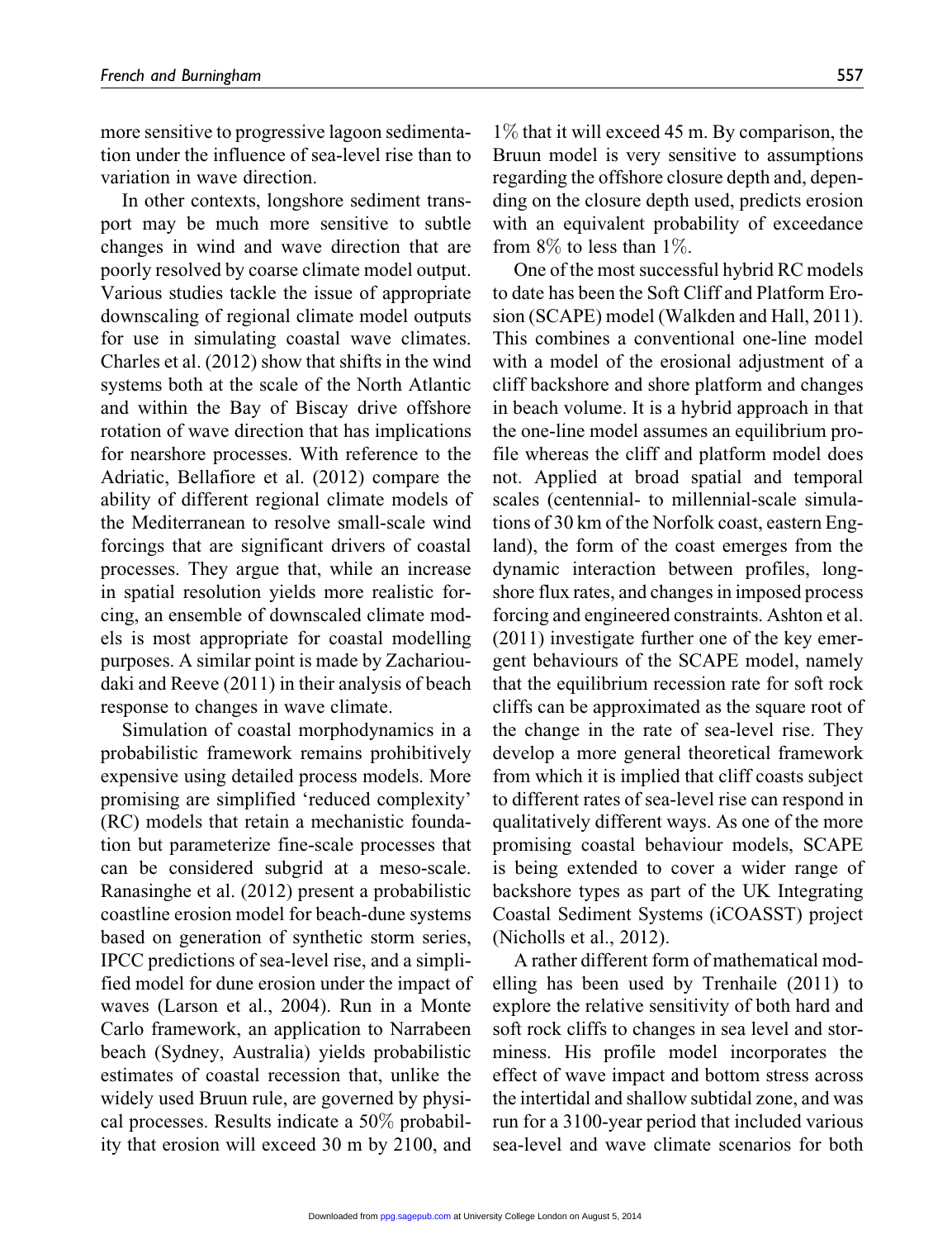more sensitive to progressive lagoon sedimentation under the influence of sea-level rise than to variation in wave direction.

In other contexts, longshore sediment transport may be much more sensitive to subtle changes in wind and wave direction that are poorly resolved by coarse climate model output. Various studies tackle the issue of appropriate downscaling of regional climate model outputs for use in simulating coastal wave climates. Charles et al. (2012) show that shifts in the wind systems both at the scale of the North Atlantic and within the Bay of Biscay drive offshore rotation of wave direction that has implications for nearshore processes. With reference to the Adriatic, Bellafiore et al. (2012) compare the ability of different regional climate models of the Mediterranean to resolve small-scale wind forcings that are significant drivers of coastal processes. They argue that, while an increase in spatial resolution yields more realistic forcing, an ensemble of downscaled climate models is most appropriate for coastal modelling purposes. A similar point is made by Zacharioudaki and Reeve (2011) in their analysis of beach response to changes in wave climate.

Simulation of coastal morphodynamics in a probabilistic framework remains prohibitively expensive using detailed process models. More promising are simplified 'reduced complexity' (RC) models that retain a mechanistic foundation but parameterize fine-scale processes that can be considered subgrid at a meso-scale. Ranasinghe et al. (2012) present a probabilistic coastline erosion model for beach-dune systems based on generation of synthetic storm series, IPCC predictions of sea-level rise, and a simplified model for dune erosion under the impact of waves (Larson et al., 2004). Run in a Monte Carlo framework, an application to Narrabeen beach (Sydney, Australia) yields probabilistic estimates of coastal recession that, unlike the widely used Bruun rule, are governed by physical processes. Results indicate a 50% probability that erosion will exceed 30 m by 2100, and

1% that it will exceed 45 m. By comparison, the Bruun model is very sensitive to assumptions regarding the offshore closure depth and, depending on the closure depth used, predicts erosion with an equivalent probability of exceedance from  $8\%$  to less than  $1\%$ .

One of the most successful hybrid RC models to date has been the Soft Cliff and Platform Erosion (SCAPE) model (Walkden and Hall, 2011). This combines a conventional one-line model with a model of the erosional adjustment of a cliff backshore and shore platform and changes in beach volume. It is a hybrid approach in that the one-line model assumes an equilibrium profile whereas the cliff and platform model does not. Applied at broad spatial and temporal scales (centennial- to millennial-scale simulations of 30 km of the Norfolk coast, eastern England), the form of the coast emerges from the dynamic interaction between profiles, longshore flux rates, and changes in imposed process forcing and engineered constraints. Ashton et al. (2011) investigate further one of the key emergent behaviours of the SCAPE model, namely that the equilibrium recession rate for soft rock cliffs can be approximated as the square root of the change in the rate of sea-level rise. They develop a more general theoretical framework from which it is implied that cliff coasts subject to different rates of sea-level rise can respond in qualitatively different ways. As one of the more promising coastal behaviour models, SCAPE is being extended to cover a wider range of backshore types as part of the UK Integrating Coastal Sediment Systems (iCOASST) project (Nicholls et al., 2012).

A rather different form of mathematical modelling has been used by Trenhaile (2011) to explore the relative sensitivity of both hard and soft rock cliffs to changes in sea level and storminess. His profile model incorporates the effect of wave impact and bottom stress across the intertidal and shallow subtidal zone, and was run for a 3100-year period that included various sea-level and wave climate scenarios for both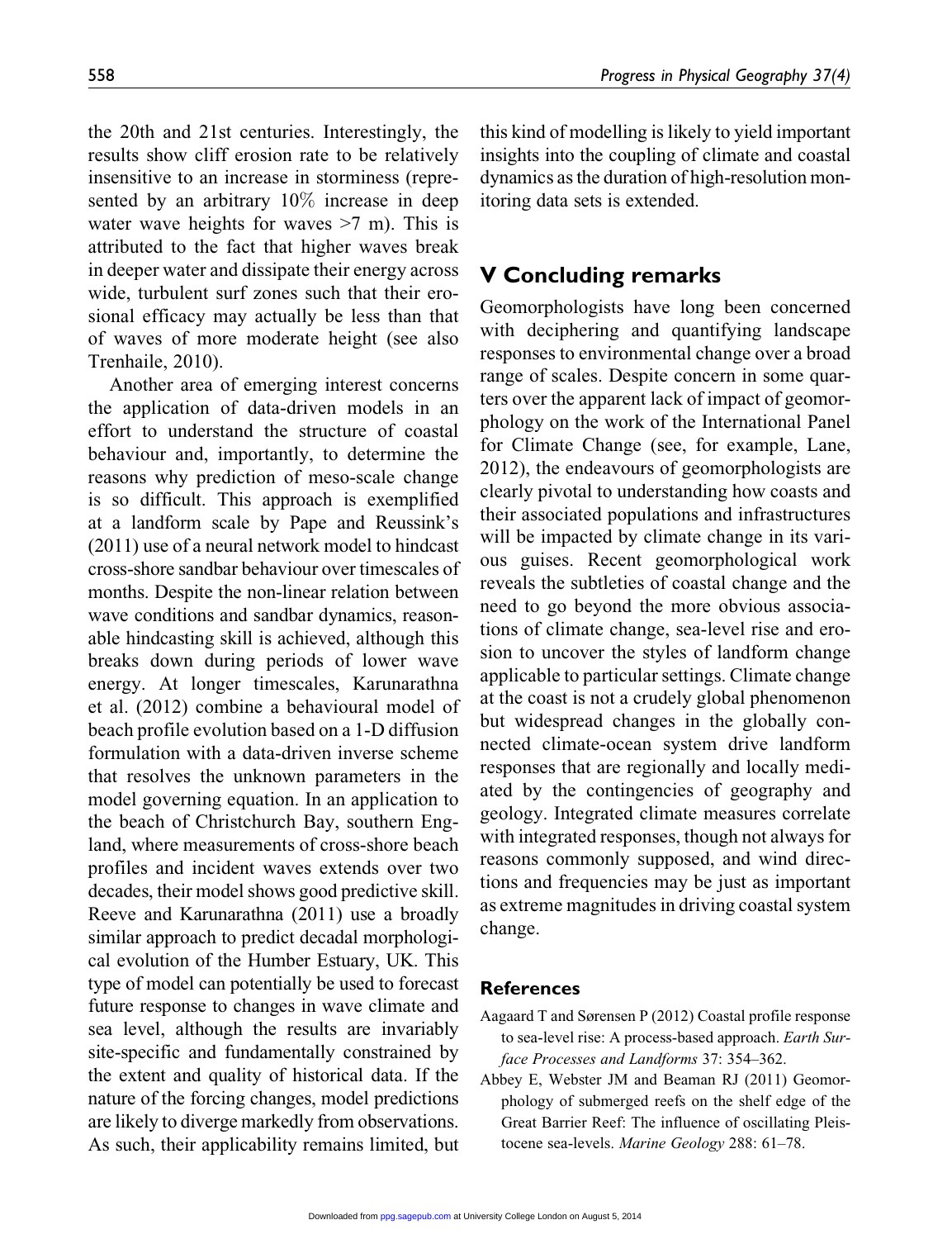the 20th and 21st centuries. Interestingly, the results show cliff erosion rate to be relatively insensitive to an increase in storminess (represented by an arbitrary 10% increase in deep water wave heights for waves  $>7$  m). This is attributed to the fact that higher waves break in deeper water and dissipate their energy across wide, turbulent surf zones such that their erosional efficacy may actually be less than that of waves of more moderate height (see also Trenhaile, 2010).

Another area of emerging interest concerns the application of data-driven models in an effort to understand the structure of coastal behaviour and, importantly, to determine the reasons why prediction of meso-scale change is so difficult. This approach is exemplified at a landform scale by Pape and Reussink's (2011) use of a neural network model to hindcast cross-shore sandbar behaviour over timescales of months. Despite the non-linear relation between wave conditions and sandbar dynamics, reasonable hindcasting skill is achieved, although this breaks down during periods of lower wave energy. At longer timescales, Karunarathna et al. (2012) combine a behavioural model of beach profile evolution based on a 1-D diffusion formulation with a data-driven inverse scheme that resolves the unknown parameters in the model governing equation. In an application to the beach of Christchurch Bay, southern England, where measurements of cross-shore beach profiles and incident waves extends over two decades, their model shows good predictive skill. Reeve and Karunarathna (2011) use a broadly similar approach to predict decadal morphological evolution of the Humber Estuary, UK. This type of model can potentially be used to forecast future response to changes in wave climate and sea level, although the results are invariably site-specific and fundamentally constrained by the extent and quality of historical data. If the nature of the forcing changes, model predictions are likely to diverge markedly from observations. As such, their applicability remains limited, but this kind of modelling is likely to yield important insights into the coupling of climate and coastal dynamics as the duration of high-resolution monitoring data sets is extended.

### V Concluding remarks

Geomorphologists have long been concerned with deciphering and quantifying landscape responses to environmental change over a broad range of scales. Despite concern in some quarters over the apparent lack of impact of geomorphology on the work of the International Panel for Climate Change (see, for example, Lane, 2012), the endeavours of geomorphologists are clearly pivotal to understanding how coasts and their associated populations and infrastructures will be impacted by climate change in its various guises. Recent geomorphological work reveals the subtleties of coastal change and the need to go beyond the more obvious associations of climate change, sea-level rise and erosion to uncover the styles of landform change applicable to particular settings. Climate change at the coast is not a crudely global phenomenon but widespread changes in the globally connected climate-ocean system drive landform responses that are regionally and locally mediated by the contingencies of geography and geology. Integrated climate measures correlate with integrated responses, though not always for reasons commonly supposed, and wind directions and frequencies may be just as important as extreme magnitudes in driving coastal system change.

#### References

- Aagaard T and Sørensen P (2012) Coastal profile response to sea-level rise: A process-based approach. Earth Surface Processes and Landforms 37: 354–362.
- Abbey E, Webster JM and Beaman RJ (2011) Geomorphology of submerged reefs on the shelf edge of the Great Barrier Reef: The influence of oscillating Pleistocene sea-levels. Marine Geology 288: 61–78.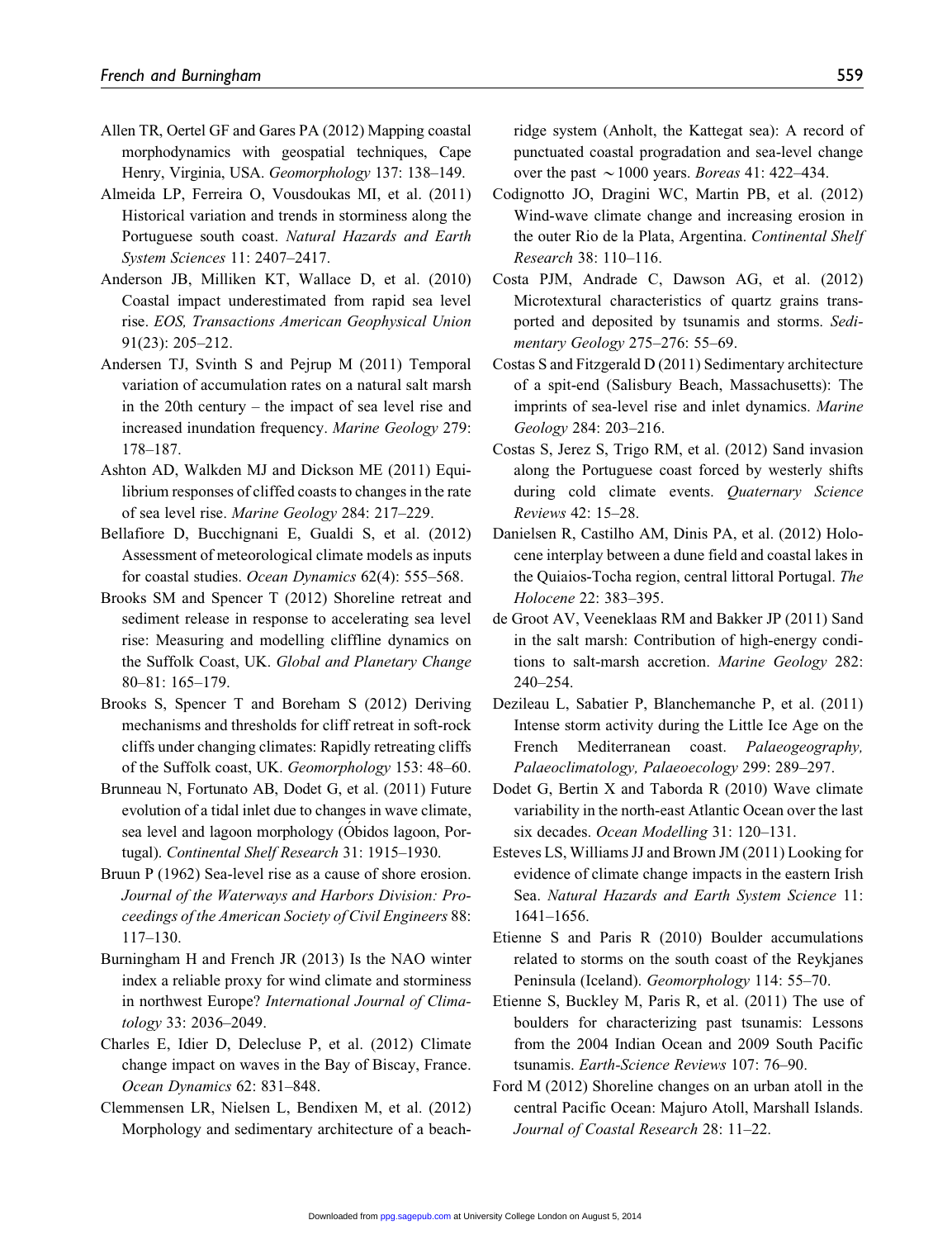- Allen TR, Oertel GF and Gares PA (2012) Mapping coastal morphodynamics with geospatial techniques, Cape Henry, Virginia, USA. Geomorphology 137: 138–149.
- Almeida LP, Ferreira O, Vousdoukas MI, et al. (2011) Historical variation and trends in storminess along the Portuguese south coast. Natural Hazards and Earth System Sciences 11: 2407–2417.
- Anderson JB, Milliken KT, Wallace D, et al. (2010) Coastal impact underestimated from rapid sea level rise. EOS, Transactions American Geophysical Union 91(23): 205–212.
- Andersen TJ, Svinth S and Pejrup M (2011) Temporal variation of accumulation rates on a natural salt marsh in the 20th century – the impact of sea level rise and increased inundation frequency. Marine Geology 279: 178–187.
- Ashton AD, Walkden MJ and Dickson ME (2011) Equilibrium responses of cliffed coasts to changes in the rate of sea level rise. Marine Geology 284: 217–229.
- Bellafiore D, Bucchignani E, Gualdi S, et al. (2012) Assessment of meteorological climate models as inputs for coastal studies. Ocean Dynamics 62(4): 555–568.
- Brooks SM and Spencer T (2012) Shoreline retreat and sediment release in response to accelerating sea level rise: Measuring and modelling cliffline dynamics on the Suffolk Coast, UK. Global and Planetary Change 80–81: 165–179.
- Brooks S, Spencer T and Boreham S (2012) Deriving mechanisms and thresholds for cliff retreat in soft-rock cliffs under changing climates: Rapidly retreating cliffs of the Suffolk coast, UK. Geomorphology 153: 48–60.
- Brunneau N, Fortunato AB, Dodet G, et al. (2011) Future evolution of a tidal inlet due to changes in wave climate, sea level and lagoon morphology (Obidos lagoon, Portugal). Continental Shelf Research 31: 1915–1930.
- Bruun P (1962) Sea-level rise as a cause of shore erosion. Journal of the Waterways and Harbors Division: Proceedings of the American Society of Civil Engineers 88: 117–130.
- Burningham H and French JR (2013) Is the NAO winter index a reliable proxy for wind climate and storminess in northwest Europe? International Journal of Climatology 33: 2036–2049.
- Charles E, Idier D, Delecluse P, et al. (2012) Climate change impact on waves in the Bay of Biscay, France. Ocean Dynamics 62: 831–848.
- Clemmensen LR, Nielsen L, Bendixen M, et al. (2012) Morphology and sedimentary architecture of a beach-

ridge system (Anholt, the Kattegat sea): A record of punctuated coastal progradation and sea-level change over the past  $\sim$  1000 years. *Boreas* 41: 422–434.

- Codignotto JO, Dragini WC, Martin PB, et al. (2012) Wind-wave climate change and increasing erosion in the outer Rio de la Plata, Argentina. Continental Shelf Research 38: 110–116.
- Costa PJM, Andrade C, Dawson AG, et al. (2012) Microtextural characteristics of quartz grains transported and deposited by tsunamis and storms. Sedimentary Geology 275–276: 55–69.
- Costas S and Fitzgerald D (2011) Sedimentary architecture of a spit-end (Salisbury Beach, Massachusetts): The imprints of sea-level rise and inlet dynamics. Marine Geology 284: 203–216.
- Costas S, Jerez S, Trigo RM, et al. (2012) Sand invasion along the Portuguese coast forced by westerly shifts during cold climate events. Quaternary Science Reviews 42: 15–28.
- Danielsen R, Castilho AM, Dinis PA, et al. (2012) Holocene interplay between a dune field and coastal lakes in the Quiaios-Tocha region, central littoral Portugal. The Holocene 22: 383–395.
- de Groot AV, Veeneklaas RM and Bakker JP (2011) Sand in the salt marsh: Contribution of high-energy conditions to salt-marsh accretion. Marine Geology 282: 240–254.
- Dezileau L, Sabatier P, Blanchemanche P, et al. (2011) Intense storm activity during the Little Ice Age on the French Mediterranean coast. Palaeogeography, Palaeoclimatology, Palaeoecology 299: 289–297.
- Dodet G, Bertin X and Taborda R (2010) Wave climate variability in the north-east Atlantic Ocean over the last six decades. Ocean Modelling 31: 120–131.
- Esteves LS, Williams JJ and Brown JM (2011) Looking for evidence of climate change impacts in the eastern Irish Sea. Natural Hazards and Earth System Science 11: 1641–1656.
- Etienne S and Paris R (2010) Boulder accumulations related to storms on the south coast of the Reykjanes Peninsula (Iceland). Geomorphology 114: 55–70.
- Etienne S, Buckley M, Paris R, et al. (2011) The use of boulders for characterizing past tsunamis: Lessons from the 2004 Indian Ocean and 2009 South Pacific tsunamis. Earth-Science Reviews 107: 76–90.
- Ford M (2012) Shoreline changes on an urban atoll in the central Pacific Ocean: Majuro Atoll, Marshall Islands. Journal of Coastal Research 28: 11–22.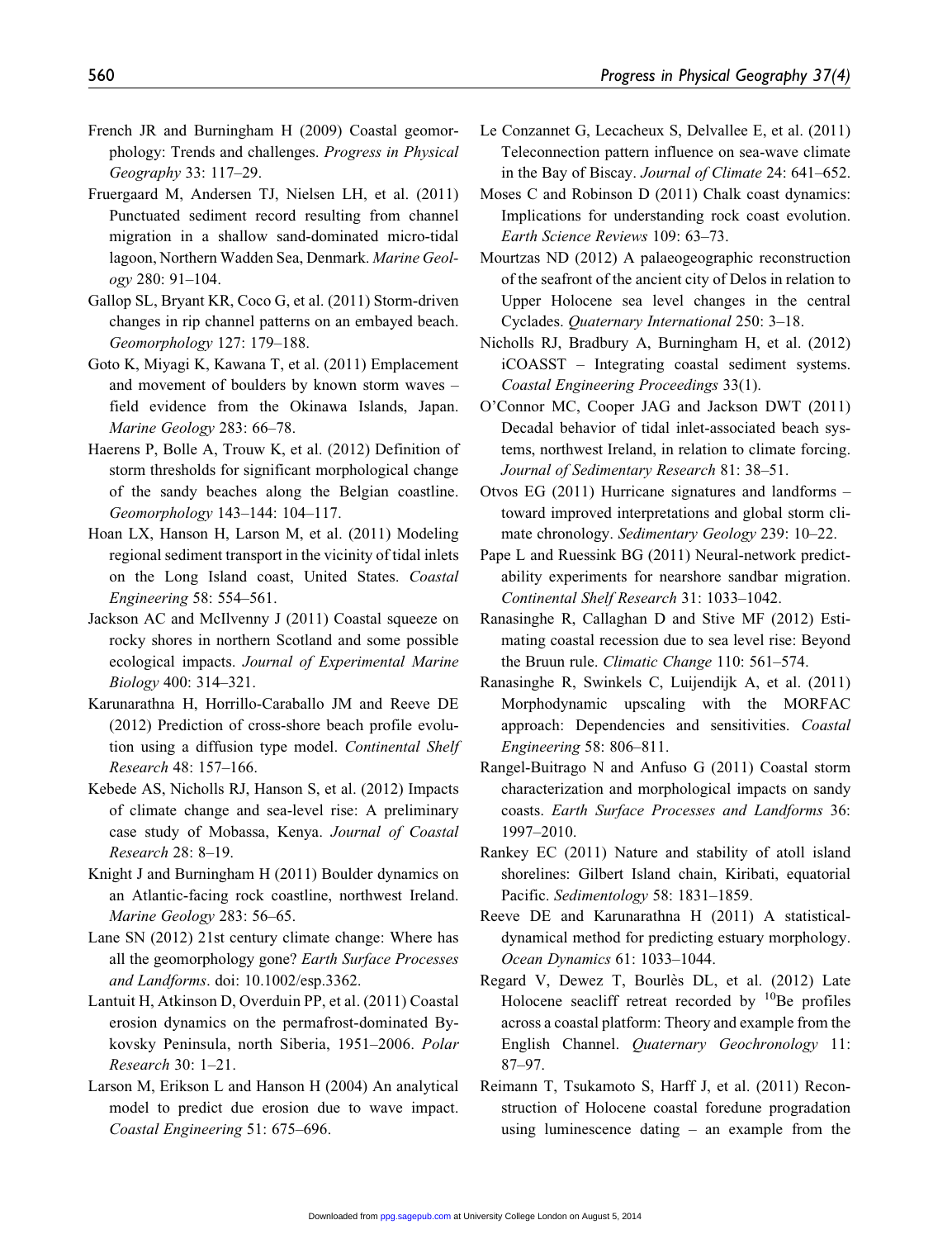- French JR and Burningham H (2009) Coastal geomorphology: Trends and challenges. Progress in Physical Geography 33: 117–29.
- Fruergaard M, Andersen TJ, Nielsen LH, et al. (2011) Punctuated sediment record resulting from channel migration in a shallow sand-dominated micro-tidal lagoon, Northern Wadden Sea, Denmark. Marine Geology 280: 91–104.
- Gallop SL, Bryant KR, Coco G, et al. (2011) Storm-driven changes in rip channel patterns on an embayed beach. Geomorphology 127: 179–188.
- Goto K, Miyagi K, Kawana T, et al. (2011) Emplacement and movement of boulders by known storm waves – field evidence from the Okinawa Islands, Japan. Marine Geology 283: 66–78.
- Haerens P, Bolle A, Trouw K, et al. (2012) Definition of storm thresholds for significant morphological change of the sandy beaches along the Belgian coastline. Geomorphology 143–144: 104–117.
- Hoan LX, Hanson H, Larson M, et al. (2011) Modeling regional sediment transport in the vicinity of tidal inlets on the Long Island coast, United States. Coastal Engineering 58: 554–561.
- Jackson AC and McIlvenny J (2011) Coastal squeeze on rocky shores in northern Scotland and some possible ecological impacts. Journal of Experimental Marine Biology 400: 314–321.
- Karunarathna H, Horrillo-Caraballo JM and Reeve DE (2012) Prediction of cross-shore beach profile evolution using a diffusion type model. Continental Shelf Research 48: 157–166.
- Kebede AS, Nicholls RJ, Hanson S, et al. (2012) Impacts of climate change and sea-level rise: A preliminary case study of Mobassa, Kenya. Journal of Coastal Research 28: 8–19.
- Knight J and Burningham H (2011) Boulder dynamics on an Atlantic-facing rock coastline, northwest Ireland. Marine Geology 283: 56–65.
- Lane SN (2012) 21st century climate change: Where has all the geomorphology gone? Earth Surface Processes and Landforms. doi: 10.1002/esp.3362.
- Lantuit H, Atkinson D, Overduin PP, et al. (2011) Coastal erosion dynamics on the permafrost-dominated Bykovsky Peninsula, north Siberia, 1951–2006. Polar Research 30: 1–21.
- Larson M, Erikson L and Hanson H (2004) An analytical model to predict due erosion due to wave impact. Coastal Engineering 51: 675–696.
- Le Conzannet G, Lecacheux S, Delvallee E, et al. (2011) Teleconnection pattern influence on sea-wave climate in the Bay of Biscay. Journal of Climate 24: 641–652.
- Moses C and Robinson D (2011) Chalk coast dynamics: Implications for understanding rock coast evolution. Earth Science Reviews 109: 63–73.
- Mourtzas ND (2012) A palaeogeographic reconstruction of the seafront of the ancient city of Delos in relation to Upper Holocene sea level changes in the central Cyclades. Quaternary International 250: 3–18.
- Nicholls RJ, Bradbury A, Burningham H, et al. (2012) iCOASST – Integrating coastal sediment systems. Coastal Engineering Proceedings 33(1).
- O'Connor MC, Cooper JAG and Jackson DWT (2011) Decadal behavior of tidal inlet-associated beach systems, northwest Ireland, in relation to climate forcing. Journal of Sedimentary Research 81: 38–51.
- Otvos EG (2011) Hurricane signatures and landforms toward improved interpretations and global storm climate chronology. Sedimentary Geology 239: 10–22.
- Pape L and Ruessink BG (2011) Neural-network predictability experiments for nearshore sandbar migration. Continental Shelf Research 31: 1033–1042.
- Ranasinghe R, Callaghan D and Stive MF (2012) Estimating coastal recession due to sea level rise: Beyond the Bruun rule. Climatic Change 110: 561–574.
- Ranasinghe R, Swinkels C, Luijendijk A, et al. (2011) Morphodynamic upscaling with the MORFAC approach: Dependencies and sensitivities. Coastal Engineering 58: 806–811.
- Rangel-Buitrago N and Anfuso G (2011) Coastal storm characterization and morphological impacts on sandy coasts. Earth Surface Processes and Landforms 36: 1997–2010.
- Rankey EC (2011) Nature and stability of atoll island shorelines: Gilbert Island chain, Kiribati, equatorial Pacific. Sedimentology 58: 1831–1859.
- Reeve DE and Karunarathna H (2011) A statisticaldynamical method for predicting estuary morphology. Ocean Dynamics 61: 1033–1044.
- Regard V, Dewez T, Bourlès DL, et al. (2012) Late Holocene seacliff retreat recorded by  $^{10}$ Be profiles across a coastal platform: Theory and example from the English Channel. Quaternary Geochronology 11: 87–97.
- Reimann T, Tsukamoto S, Harff J, et al. (2011) Reconstruction of Holocene coastal foredune progradation using luminescence dating – an example from the